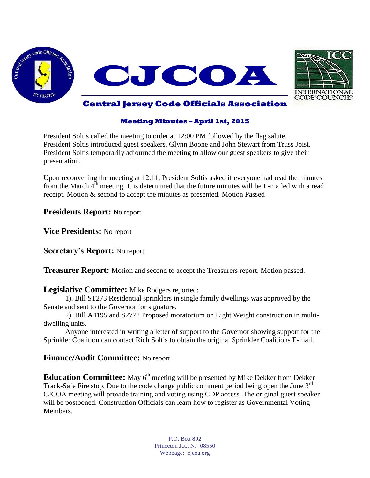



## **Central Jersey Code Officials Association**

#### **Meeting Minutes – April 1st, 2015**

President Soltis called the meeting to order at 12:00 PM followed by the flag salute. President Soltis introduced guest speakers, Glynn Boone and John Stewart from Truss Joist. President Soltis temporarily adjourned the meeting to allow our guest speakers to give their presentation.

Upon reconvening the meeting at 12:11, President Soltis asked if everyone had read the minutes from the March  $4<sup>th</sup>$  meeting. It is determined that the future minutes will be E-mailed with a read receipt. Motion & second to accept the minutes as presented. Motion Passed

**Presidents Report:** No report

**Vice Presidents:** No report

**Secretary's Report:** No report

**Treasurer Report:** Motion and second to accept the Treasurers report. Motion passed.

#### **Legislative Committee:** Mike Rodgers reported:

1). Bill ST273 Residential sprinklers in single family dwellings was approved by the Senate and sent to the Governor for signature.

2). Bill A4195 and S2772 Proposed moratorium on Light Weight construction in multidwelling units.

Anyone interested in writing a letter of support to the Governor showing support for the Sprinkler Coalition can contact Rich Soltis to obtain the original Sprinkler Coalitions E-mail.

## **Finance/Audit Committee:** No report

**Education Committee:** May 6<sup>th</sup> meeting will be presented by Mike Dekker from Dekker Track-Safe Fire stop. Due to the code change public comment period being open the June 3<sup>rd</sup> CJCOA meeting will provide training and voting using CDP access. The original guest speaker will be postponed. Construction Officials can learn how to register as Governmental Voting Members.

> P.O. Box 892 Princeton Jct., NJ 08550 Webpage: cjcoa.org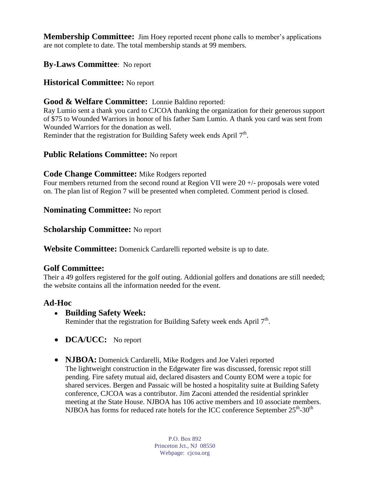**Membership Committee:** Jim Hoey reported recent phone calls to member's applications are not complete to date. The total membership stands at 99 members.

# **By-Laws Committee**: No report

## **Historical Committee:** No report

## **Good & Welfare Committee:** Lonnie Baldino reported:

Ray Lumio sent a thank you card to CJCOA thanking the organization for their generous support of \$75 to Wounded Warriors in honor of his father Sam Lumio. A thank you card was sent from Wounded Warriors for the donation as well.

Reminder that the registration for Building Safety week ends April 7<sup>th</sup>.

## **Public Relations Committee:** No report

#### **Code Change Committee:** Mike Rodgers reported

Four members returned from the second round at Region VII were  $20 +$ - $\mu$  proposals were voted on. The plan list of Region 7 will be presented when completed. Comment period is closed.

#### **Nominating Committee:** No report

#### **Scholarship Committee:** No report

**Website Committee:** Domenick Cardarelli reported website is up to date.

## **Golf Committee:**

Their a 49 golfers registered for the golf outing. Addionial golfers and donations are still needed; the website contains all the information needed for the event.

## **Ad-Hoc**

#### **Building Safety Week:**

Reminder that the registration for Building Safety week ends April 7<sup>th</sup>.

- **DCA/UCC:** No report
- **NJBOA:** Domenick Cardarelli, Mike Rodgers and Joe Valeri reported The lightweight construction in the Edgewater fire was discussed, forensic repot still pending. Fire safety mutual aid, declared disasters and County EOM were a topic for shared services. Bergen and Passaic will be hosted a hospitality suite at Building Safety conference, CJCOA was a contributor. Jim Zaconi attended the residential sprinkler meeting at the State House. NJBOA has 106 active members and 10 associate members. NJBOA has forms for reduced rate hotels for the ICC conference September  $25^{\text{th}}$ -30<sup>th</sup>

P.O. Box 892 Princeton Jct., NJ 08550 Webpage: cjcoa.org